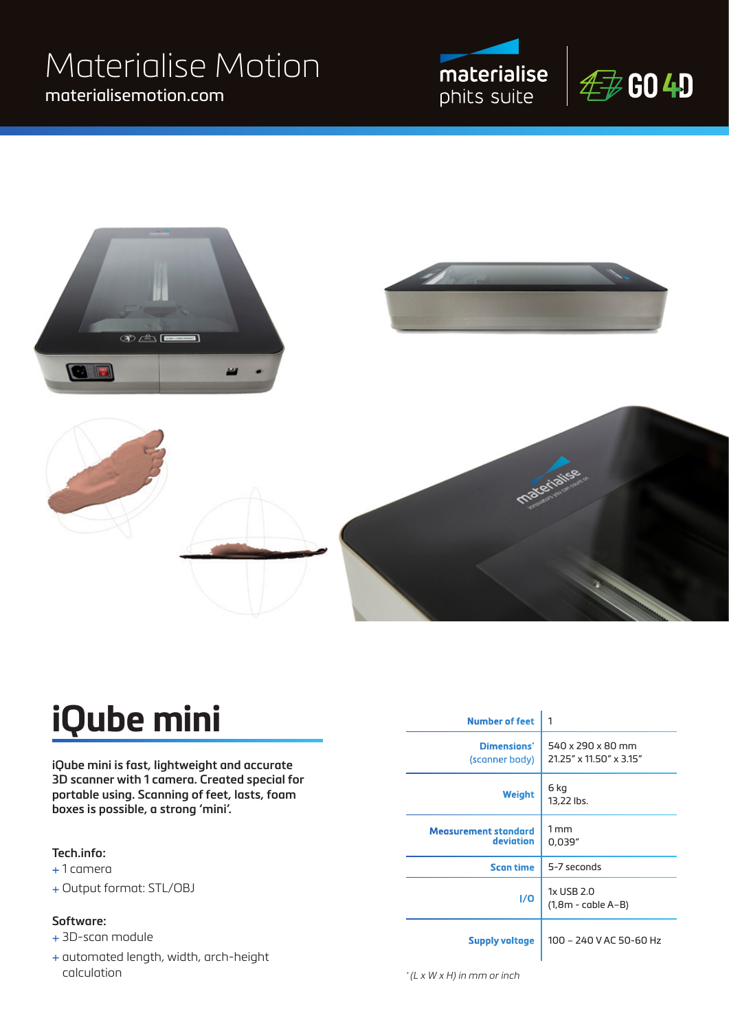### materialisemotion.com Materialise Motion







## **iQube mini**

**iQube mini is fast, lightweight and accurate 3D scanner with 1 camera. Created special for portable using. Scanning of feet, lasts, foam boxes is possible, a strong 'mini'.**

#### **Tech.info:**

- + 1 camera
- + Output format: STL/OBJ

#### **Software:**

- + 3D-scan module
- + automated length, width, arch-height calculation

| <b>Number of feet</b>                     | 1                                            |  |
|-------------------------------------------|----------------------------------------------|--|
| Dimensions <sup>*</sup><br>(scanner body) | 540 x 290 x 80 mm<br>21.25" x 11.50" x 3.15" |  |
| Weight                                    | 6 kg<br>13,22 lbs.                           |  |
| <b>Measurement standard</b><br>deviation  | 1 <sub>mm</sub><br>0,039"                    |  |
| <b>Scan time</b>                          | 5-7 seconds                                  |  |
| 1/0                                       | 1x USB 2.0<br>(1,8m - cable A–B)             |  |
| <b>Supply voltage</b>                     | 100 - 240 V AC 50-60 Hz                      |  |

 $*(L \times W \times H)$  in mm or inch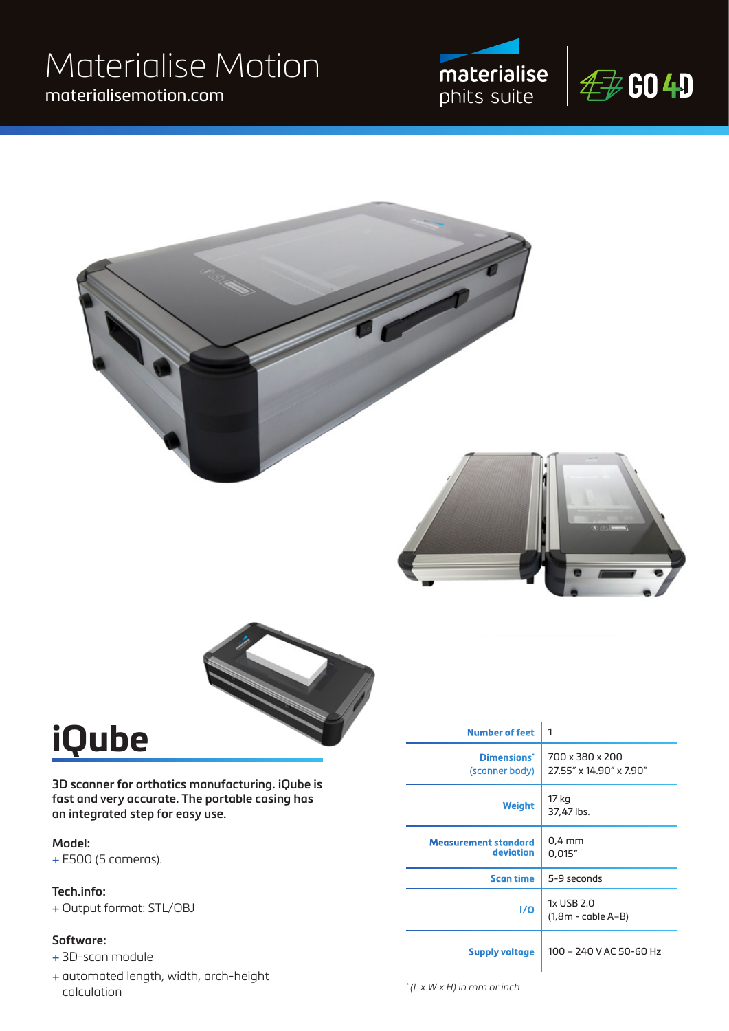### materialisemotion.com Materialise Motion









## **iQube**

**3D scanner for orthotics manufacturing. iQube is fast and very accurate. The portable casing has an integrated step for easy use.** 

#### **Model:**

+ E500 (5 cameras).

#### **Tech.info:**

+ Output format: STL/OBJ

#### **Software:**

- + 3D-scan module
- + automated length, width, arch-height calculation

| <b>Number of feet</b>                    | 1                                          |  |
|------------------------------------------|--------------------------------------------|--|
| Dimensions*<br>(scanner body)            | 700 x 380 x 200<br>27.55" x 14.90" x 7.90" |  |
| Weight                                   | 17 kg<br>37,47 lbs.                        |  |
| <b>Measurement standard</b><br>deviation | $0.4$ mm<br>0,015"                         |  |
| <b>Scan time</b>                         | 5-9 seconds                                |  |
| 1/0                                      | 1x USB 2.0<br>$(1,8m - cable A-B)$         |  |
| <b>Supply voltage</b>                    | 100 - 240 V AC 50-60 Hz                    |  |

 $*(L \times W \times H)$  in mm or inch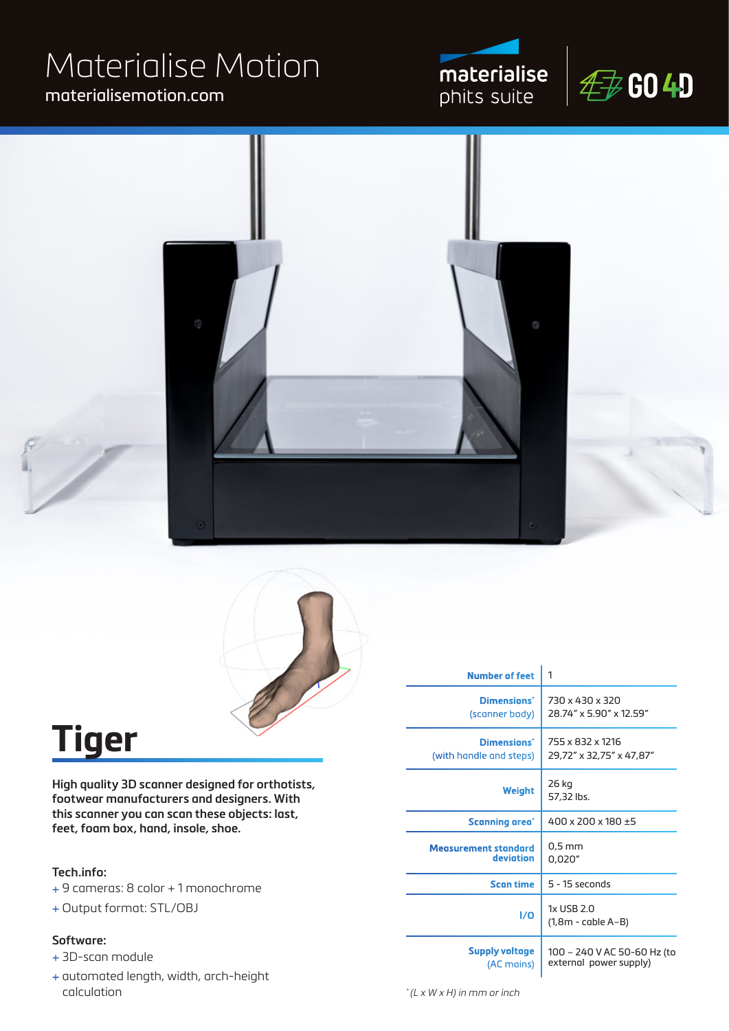# Materialise Motion

### materialisemotion.com









## **Tiger**

**High quality 3D scanner designed for orthotists, footwear manufacturers and designers. With this scanner you can scan these objects: last, feet, foam box, hand, insole, shoe.**

#### **Tech.info:**

- + 9 cameras: 8 color + 1 monochrome
- + Output format: STL/OBJ

#### **Software:**

- + 3D-scan module
- + automated length, width, arch-height calculation

| <b>Number of feet</b>                  | 1                                                     |  |
|----------------------------------------|-------------------------------------------------------|--|
| Dimensions'<br>(scanner body)          | 730 x 430 x 320<br>28.74" x 5.90" x 12.59"            |  |
| Dimensions'<br>(with handle and steps) | 755 x 832 x 1216<br>29,72" x 32,75" x 47,87"          |  |
| Weight                                 | 26 kg<br>57,32 lbs.                                   |  |
| Scanning area <sup>*</sup>             | 400 x 200 x 180 $\pm$ 5                               |  |
| Measurement standard<br>deviation      | $0.5$ mm<br>0,020"                                    |  |
| <b>Scan time</b>                       | $5 - 15$ seconds                                      |  |
| I/O                                    | 1x USB 2.0<br>(1,8m - cable A–B)                      |  |
| <b>Supply voltage</b><br>(AC mains)    | 100 - 240 V AC 50-60 Hz (to<br>external power supply) |  |

 $*(L \times W \times H)$  in mm or inch